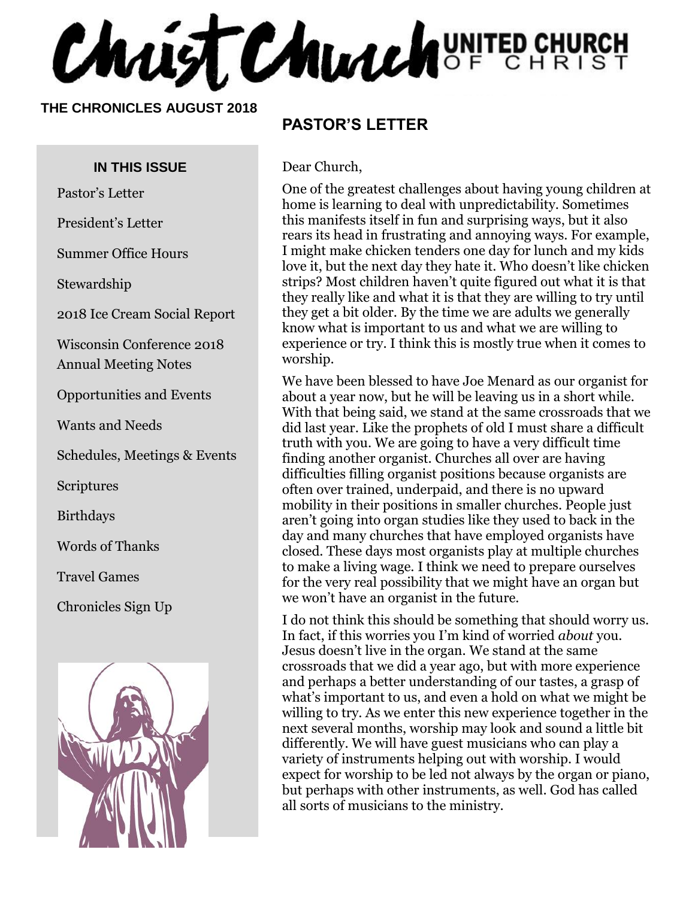**Chaist Church** UNITED CHURCH

#### **THE CHRONICLES AUGUST 2018**

#### **IN THIS ISSUE**

Pastor's Letter

President's Letter

Summer Office Hours

Stewardship

2018 Ice Cream Social Report

Wisconsin Conference 2018 Annual Meeting Notes

Opportunities and Events

Wants and Needs

Schedules, Meetings & Events

Scriptures

Birthdays

Words of Thanks

Travel Games

Chronicles Sign Up



#### **PASTOR'S LETTER**

Dear Church,

One of the greatest challenges about having young children at home is learning to deal with unpredictability. Sometimes this manifests itself in fun and surprising ways, but it also rears its head in frustrating and annoying ways. For example, I might make chicken tenders one day for lunch and my kids love it, but the next day they hate it. Who doesn't like chicken strips? Most children haven't quite figured out what it is that they really like and what it is that they are willing to try until they get a bit older. By the time we are adults we generally know what is important to us and what we are willing to experience or try. I think this is mostly true when it comes to worship.

We have been blessed to have Joe Menard as our organist for about a year now, but he will be leaving us in a short while. With that being said, we stand at the same crossroads that we did last year. Like the prophets of old I must share a difficult truth with you. We are going to have a very difficult time finding another organist. Churches all over are having difficulties filling organist positions because organists are often over trained, underpaid, and there is no upward mobility in their positions in smaller churches. People just aren't going into organ studies like they used to back in the day and many churches that have employed organists have closed. These days most organists play at multiple churches to make a living wage. I think we need to prepare ourselves for the very real possibility that we might have an organ but we won't have an organist in the future.

I do not think this should be something that should worry us. In fact, if this worries you I'm kind of worried *about* you. Jesus doesn't live in the organ. We stand at the same crossroads that we did a year ago, but with more experience and perhaps a better understanding of our tastes, a grasp of what's important to us, and even a hold on what we might be willing to try. As we enter this new experience together in the next several months, worship may look and sound a little bit differently. We will have guest musicians who can play a variety of instruments helping out with worship. I would expect for worship to be led not always by the organ or piano, but perhaps with other instruments, as well. God has called all sorts of musicians to the ministry.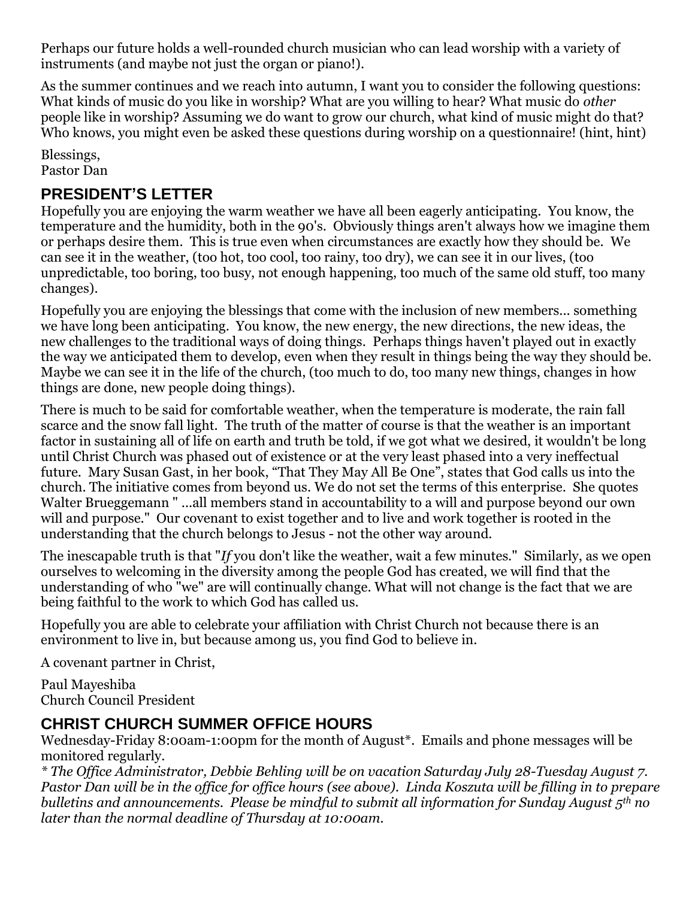Perhaps our future holds a well-rounded church musician who can lead worship with a variety of instruments (and maybe not just the organ or piano!).

As the summer continues and we reach into autumn, I want you to consider the following questions: What kinds of music do you like in worship? What are you willing to hear? What music do *other*  people like in worship? Assuming we do want to grow our church, what kind of music might do that? Who knows, you might even be asked these questions during worship on a questionnaire! (hint, hint)

Blessings, Pastor Dan

#### **PRESIDENT'S LETTER**

Hopefully you are enjoying the warm weather we have all been eagerly anticipating. You know, the temperature and the humidity, both in the 90's. Obviously things aren't always how we imagine them or perhaps desire them. This is true even when circumstances are exactly how they should be. We can see it in the weather, (too hot, too cool, too rainy, too dry), we can see it in our lives, (too unpredictable, too boring, too busy, not enough happening, too much of the same old stuff, too many changes).

Hopefully you are enjoying the blessings that come with the inclusion of new members... something we have long been anticipating. You know, the new energy, the new directions, the new ideas, the new challenges to the traditional ways of doing things. Perhaps things haven't played out in exactly the way we anticipated them to develop, even when they result in things being the way they should be. Maybe we can see it in the life of the church, (too much to do, too many new things, changes in how things are done, new people doing things).

There is much to be said for comfortable weather, when the temperature is moderate, the rain fall scarce and the snow fall light. The truth of the matter of course is that the weather is an important factor in sustaining all of life on earth and truth be told, if we got what we desired, it wouldn't be long until Christ Church was phased out of existence or at the very least phased into a very ineffectual future. Mary Susan Gast, in her book, "That They May All Be One", states that God calls us into the church. The initiative comes from beyond us. We do not set the terms of this enterprise. She quotes Walter Brueggemann " ...all members stand in accountability to a will and purpose beyond our own will and purpose." Our covenant to exist together and to live and work together is rooted in the understanding that the church belongs to Jesus - not the other way around.

The inescapable truth is that "*If* you don't like the weather, wait a few minutes." Similarly, as we open ourselves to welcoming in the diversity among the people God has created, we will find that the understanding of who "we" are will continually change. What will not change is the fact that we are being faithful to the work to which God has called us.

Hopefully you are able to celebrate your affiliation with Christ Church not because there is an environment to live in, but because among us, you find God to believe in.

A covenant partner in Christ,

Paul Mayeshiba Church Council President

#### **CHRIST CHURCH SUMMER OFFICE HOURS**

Wednesday-Friday 8:00am-1:00pm for the month of August\*. Emails and phone messages will be monitored regularly.

*\* The Office Administrator, Debbie Behling will be on vacation Saturday July 28-Tuesday August 7. Pastor Dan will be in the office for office hours (see above). Linda Koszuta will be filling in to prepare bulletins and announcements. Please be mindful to submit all information for Sunday August 5th no later than the normal deadline of Thursday at 10:00am.*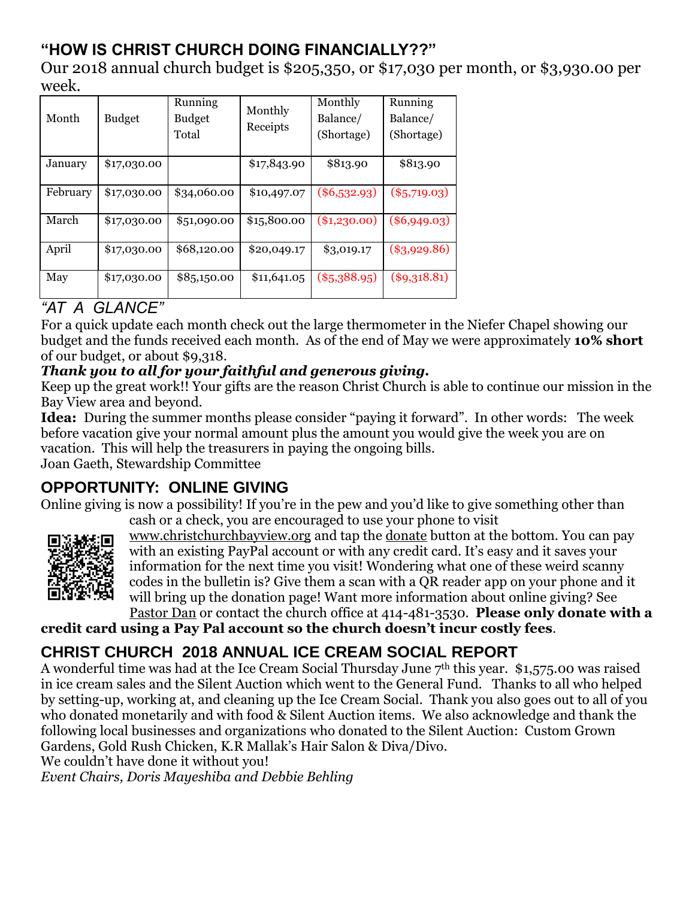## **"HOW IS CHRIST CHURCH DOING FINANCIALLY??"**

Our 2018 annual church budget is \$205,350, or \$17,030 per month, or \$3,930.00 per week.

| Month    | <b>Budget</b> | Running<br><b>Budget</b><br>Total | Monthly<br>Receipts | Monthly<br>Balance/<br>(Shortage) | Running<br>Balance/<br>(Shortage) |
|----------|---------------|-----------------------------------|---------------------|-----------------------------------|-----------------------------------|
| January  | \$17,030.00   |                                   | \$17,843.90         | \$813.90                          | \$813.90                          |
| February | \$17,030.00   | \$34,060.00                       | \$10,497.07         | $(\$6,532.93)$                    | $(\$5,719.03)$                    |
| March    | \$17,030.00   | \$51,090.00                       | \$15,800.00         | $(*1,230.00)$                     | $(\$6,949.03)$                    |
| April    | \$17,030.00   | \$68,120.00                       | \$20,049.17         | \$3,019.17                        | $(\$3,929.86)$                    |
| May      | \$17,030.00   | \$85,150.00                       | \$11,641.05         | $(*5,388.95)$                     | $(\$9,318.81)$                    |

#### *"AT A GLANCE"*

For a quick update each month check out the large thermometer in the Niefer Chapel showing our budget and the funds received each month. As of the end of May we were approximately **10% short** of our budget, or about \$9,318.

#### *Thank you to all for your faithful and generous giving.*

Keep up the great work!! Your gifts are the reason Christ Church is able to continue our mission in the Bay View area and beyond.

**Idea:** During the summer months please consider "paying it forward". In other words: The week before vacation give your normal amount plus the amount you would give the week you are on vacation. This will help the treasurers in paying the ongoing bills.

Joan Gaeth, Stewardship Committee

## **OPPORTUNITY: ONLINE GIVING**

Online giving is now a possibility! If you're in the pew and you'd like to give something other than cash or a check, you are encouraged to use your phone to visit



[www.christchurchbayview.org](http://www.christchurchbayview.org/) and tap the [donate](https://www.paypal.com/cgi-bin/webscr?cmd=_s-xclick&hosted_button_id=D7W2VTZZBHZNU) button at the bottom. You can pay with an existing PayPal account or with any credit card. It's easy and it saves your information for the next time you visit! Wondering what one of these weird scanny codes in the bulletin is? Give them a scan with a QR reader app on your phone and it will bring up the donation page! Want more information about online giving? See

[Pastor Dan](mailto:dan_stark@att.net) or contact the church office at 414-481-3530. **Please only donate with a credit card using a Pay Pal account so the church doesn't incur costly fees**.

## **CHRIST CHURCH 2018 ANNUAL ICE CREAM SOCIAL REPORT**

A wonderful time was had at the Ice Cream Social Thursday June 7th this year. \$1,575.00 was raised in ice cream sales and the Silent Auction which went to the General Fund. Thanks to all who helped by setting-up, working at, and cleaning up the Ice Cream Social. Thank you also goes out to all of you who donated monetarily and with food & Silent Auction items. We also acknowledge and thank the following local businesses and organizations who donated to the Silent Auction: Custom Grown Gardens, Gold Rush Chicken, K.R Mallak's Hair Salon & Diva/Divo.

We couldn't have done it without you!

*Event Chairs, Doris Mayeshiba and Debbie Behling*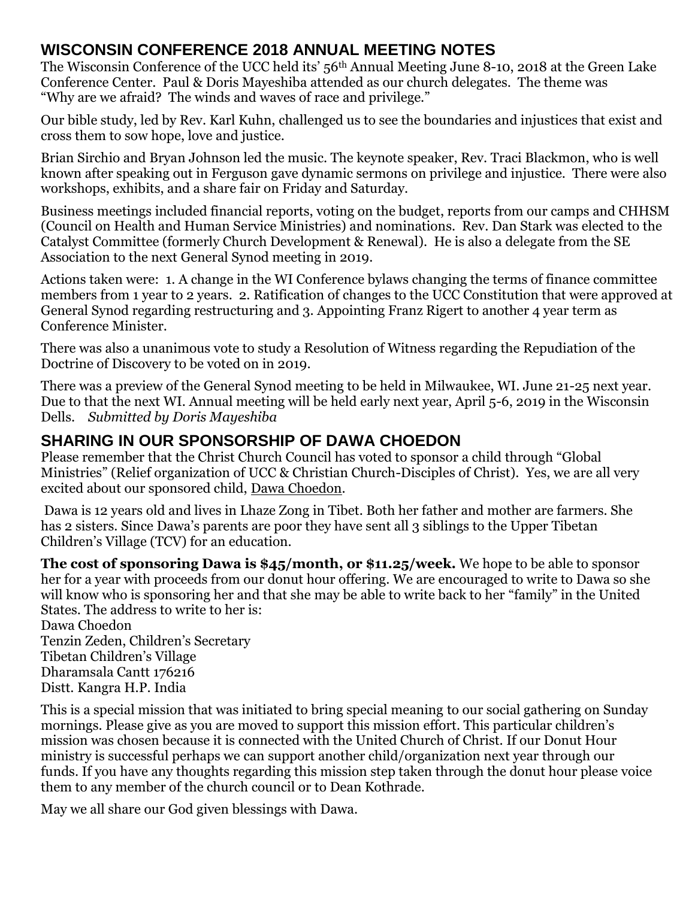#### **WISCONSIN CONFERENCE 2018 ANNUAL MEETING NOTES**

The Wisconsin Conference of the UCC held its' 56th Annual Meeting June 8-10, 2018 at the Green Lake Conference Center. Paul & Doris Mayeshiba attended as our church delegates. The theme was "Why are we afraid? The winds and waves of race and privilege."

Our bible study, led by Rev. Karl Kuhn, challenged us to see the boundaries and injustices that exist and cross them to sow hope, love and justice.

Brian Sirchio and Bryan Johnson led the music. The keynote speaker, Rev. Traci Blackmon, who is well known after speaking out in Ferguson gave dynamic sermons on privilege and injustice. There were also workshops, exhibits, and a share fair on Friday and Saturday.

Business meetings included financial reports, voting on the budget, reports from our camps and CHHSM (Council on Health and Human Service Ministries) and nominations. Rev. Dan Stark was elected to the Catalyst Committee (formerly Church Development & Renewal). He is also a delegate from the SE Association to the next General Synod meeting in 2019.

Actions taken were: 1. A change in the WI Conference bylaws changing the terms of finance committee members from 1 year to 2 years. 2. Ratification of changes to the UCC Constitution that were approved at General Synod regarding restructuring and 3. Appointing Franz Rigert to another 4 year term as Conference Minister.

There was also a unanimous vote to study a Resolution of Witness regarding the Repudiation of the Doctrine of Discovery to be voted on in 2019.

There was a preview of the General Synod meeting to be held in Milwaukee, WI. June 21-25 next year. Due to that the next WI. Annual meeting will be held early next year, April 5-6, 2019 in the Wisconsin Dells. *Submitted by Doris Mayeshiba*

#### **SHARING IN OUR SPONSORSHIP OF DAWA CHOEDON**

Please remember that the Christ Church Council has voted to sponsor a child through "Global Ministries" (Relief organization of UCC & Christian Church-Disciples of Christ). Yes, we are all very excited about our sponsored child, Dawa Choedon.

Dawa is 12 years old and lives in Lhaze Zong in Tibet. Both her father and mother are farmers. She has 2 sisters. Since Dawa's parents are poor they have sent all 3 siblings to the Upper Tibetan Children's Village (TCV) for an education.

**The cost of sponsoring Dawa is \$45/month, or \$11.25/week.** We hope to be able to sponsor her for a year with proceeds from our donut hour offering. We are encouraged to write to Dawa so she will know who is sponsoring her and that she may be able to write back to her "family" in the United States. The address to write to her is:

Dawa Choedon Tenzin Zeden, Children's Secretary Tibetan Children's Village Dharamsala Cantt 176216 Distt. Kangra H.P. India

This is a special mission that was initiated to bring special meaning to our social gathering on Sunday mornings. Please give as you are moved to support this mission effort. This particular children's mission was chosen because it is connected with the United Church of Christ. If our Donut Hour ministry is successful perhaps we can support another child/organization next year through our funds. If you have any thoughts regarding this mission step taken through the donut hour please voice them to any member of the church council or to Dean Kothrade.

May we all share our God given blessings with Dawa.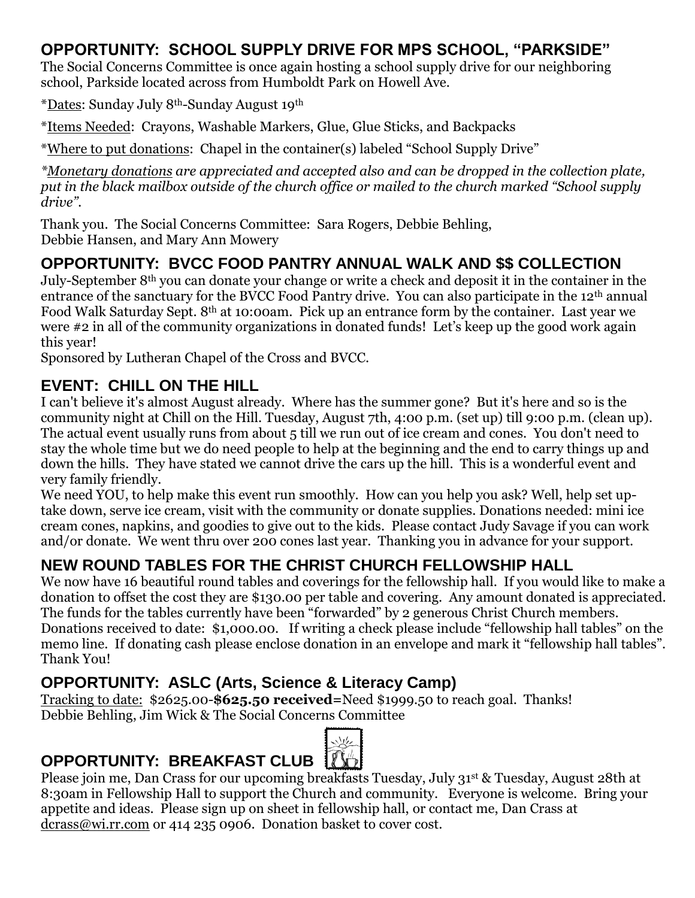#### **OPPORTUNITY: SCHOOL SUPPLY DRIVE FOR MPS SCHOOL, "PARKSIDE"**

The Social Concerns Committee is once again hosting a school supply drive for our neighboring school, Parkside located across from Humboldt Park on Howell Ave.

\*Dates: Sunday July 8th-Sunday August 19th

\*Items Needed: Crayons, Washable Markers, Glue, Glue Sticks, and Backpacks

\*Where to put donations: Chapel in the container(s) labeled "School Supply Drive"

*\*Monetary donations are appreciated and accepted also and can be dropped in the collection plate, put in the black mailbox outside of the church office or mailed to the church marked "School supply drive".*

Thank you. The Social Concerns Committee: Sara Rogers, Debbie Behling, Debbie Hansen, and Mary Ann Mowery

## **OPPORTUNITY: BVCC FOOD PANTRY ANNUAL WALK AND \$\$ COLLECTION**

July-September 8th you can donate your change or write a check and deposit it in the container in the entrance of the sanctuary for the BVCC Food Pantry drive. You can also participate in the 12<sup>th</sup> annual Food Walk Saturday Sept. 8th at 10:00am. Pick up an entrance form by the container. Last year we were #2 in all of the community organizations in donated funds! Let's keep up the good work again this year!

Sponsored by Lutheran Chapel of the Cross and BVCC.

## **EVENT: CHILL ON THE HILL**

I can't believe it's almost August already. Where has the summer gone? But it's here and so is the community night at Chill on the Hill. Tuesday, August 7th, 4:00 p.m. (set up) till 9:00 p.m. (clean up). The actual event usually runs from about 5 till we run out of ice cream and cones. You don't need to stay the whole time but we do need people to help at the beginning and the end to carry things up and down the hills. They have stated we cannot drive the cars up the hill. This is a wonderful event and very family friendly.

We need YOU, to help make this event run smoothly. How can you help you ask? Well, help set uptake down, serve ice cream, visit with the community or donate supplies. Donations needed: mini ice cream cones, napkins, and goodies to give out to the kids. Please contact Judy Savage if you can work and/or donate. We went thru over 200 cones last year. Thanking you in advance for your support.

## **NEW ROUND TABLES FOR THE CHRIST CHURCH FELLOWSHIP HALL**

We now have 16 beautiful round tables and coverings for the fellowship hall. If you would like to make a donation to offset the cost they are \$130.00 per table and covering. Any amount donated is appreciated. The funds for the tables currently have been "forwarded" by 2 generous Christ Church members. Donations received to date: \$1,000.00. If writing a check please include "fellowship hall tables" on the memo line. If donating cash please enclose donation in an envelope and mark it "fellowship hall tables". Thank You!

#### **OPPORTUNITY: ASLC (Arts, Science & Literacy Camp)**

Tracking to date: \$2625.00-**\$625.50 received=**Need \$1999.50 to reach goal. Thanks! Debbie Behling, Jim Wick & The Social Concerns Committee

## **OPPORTUNITY: BREAKFAST CLUB**



Please join me, Dan Crass for our upcoming breakfasts Tuesday, July 31st & Tuesday, August 28th at 8:30am in Fellowship Hall to support the Church and community. Everyone is welcome. Bring your appetite and ideas. Please sign up on sheet in fellowship hall, or contact me, Dan Crass at [dcrass@wi.rr.com](mailto:dcrass@wi.rr.com) or 414 235 0906. Donation basket to cover cost.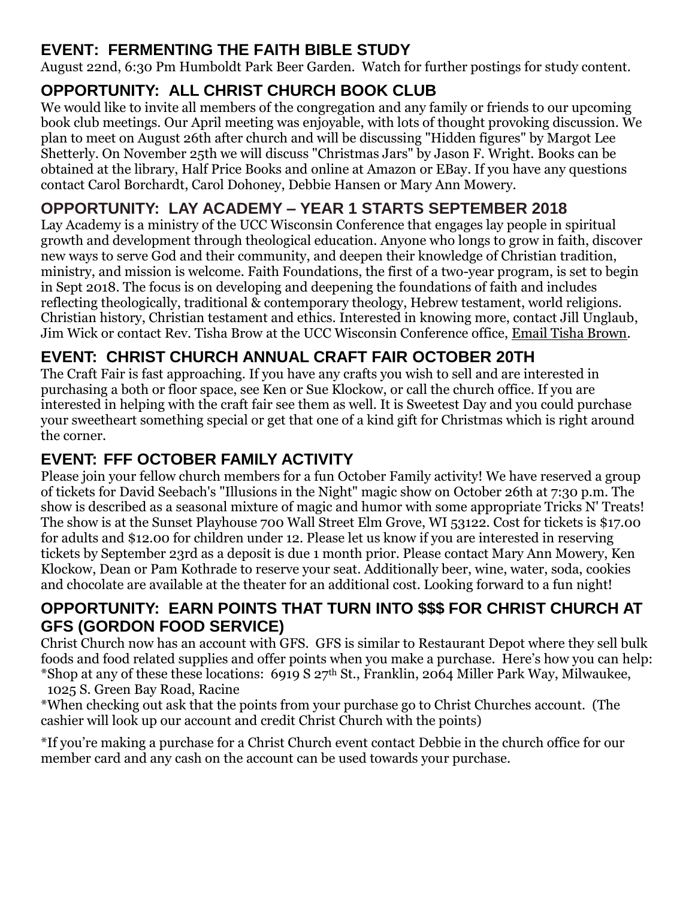## **EVENT: FERMENTING THE FAITH BIBLE STUDY**

August 22nd, 6:30 Pm Humboldt Park Beer Garden. Watch for further postings for study content.

## **OPPORTUNITY: ALL CHRIST CHURCH BOOK CLUB**

We would like to invite all members of the congregation and any family or friends to our upcoming book club meetings. Our April meeting was enjoyable, with lots of thought provoking discussion. We plan to meet on August 26th after church and will be discussing "Hidden figures" by Margot Lee Shetterly. On November 25th we will discuss "Christmas Jars" by Jason F. Wright. Books can be obtained at the library, Half Price Books and online at Amazon or EBay. If you have any questions contact Carol Borchardt, Carol Dohoney, Debbie Hansen or Mary Ann Mowery.

## **OPPORTUNITY: LAY ACADEMY – YEAR 1 STARTS SEPTEMBER 2018**

Lay Academy is a ministry of the UCC Wisconsin Conference that engages lay people in spiritual growth and development through theological education. Anyone who longs to grow in faith, discover new ways to serve God and their community, and deepen their knowledge of Christian tradition, ministry, and mission is welcome. Faith Foundations, the first of a two-year program, is set to begin in Sept 2018. The focus is on developing and deepening the foundations of faith and includes reflecting theologically, traditional & contemporary theology, Hebrew testament, world religions. Christian history, Christian testament and ethics. Interested in knowing more, contact Jill Unglaub, Jim Wick or contact Rev. Tisha Brow at the UCC Wisconsin Conference office, [Email Tisha Brown.](mailto:tbrown@wcucc.org)

## **EVENT: CHRIST CHURCH ANNUAL CRAFT FAIR OCTOBER 20TH**

The Craft Fair is fast approaching. If you have any crafts you wish to sell and are interested in purchasing a both or floor space, see Ken or Sue Klockow, or call the church office. If you are interested in helping with the craft fair see them as well. It is Sweetest Day and you could purchase your sweetheart something special or get that one of a kind gift for Christmas which is right around the corner.

## **EVENT: FFF OCTOBER FAMILY ACTIVITY**

Please join your fellow church members for a fun October Family activity! We have reserved a group of tickets for David Seebach's "Illusions in the Night" magic show on October 26th at 7:30 p.m. The show is described as a seasonal mixture of magic and humor with some appropriate Tricks N' Treats! The show is at the Sunset Playhouse 700 Wall Street Elm Grove, WI 53122. Cost for tickets is \$17.00 for adults and \$12.00 for children under 12. Please let us know if you are interested in reserving tickets by September 23rd as a deposit is due 1 month prior. Please contact Mary Ann Mowery, Ken Klockow, Dean or Pam Kothrade to reserve your seat. Additionally beer, wine, water, soda, cookies and chocolate are available at the theater for an additional cost. Looking forward to a fun night!

#### **OPPORTUNITY: EARN POINTS THAT TURN INTO \$\$\$ FOR CHRIST CHURCH AT GFS (GORDON FOOD SERVICE)**

Christ Church now has an account with GFS. GFS is similar to Restaurant Depot where they sell bulk foods and food related supplies and offer points when you make a purchase. Here's how you can help: \*Shop at any of these these locations:  $6919 S 27<sup>th</sup>$  St., Franklin, 2064 Miller Park Way, Milwaukee, 1025 S. Green Bay Road, Racine

\*When checking out ask that the points from your purchase go to Christ Churches account. (The cashier will look up our account and credit Christ Church with the points)

\*If you're making a purchase for a Christ Church event contact Debbie in the church office for our member card and any cash on the account can be used towards your purchase.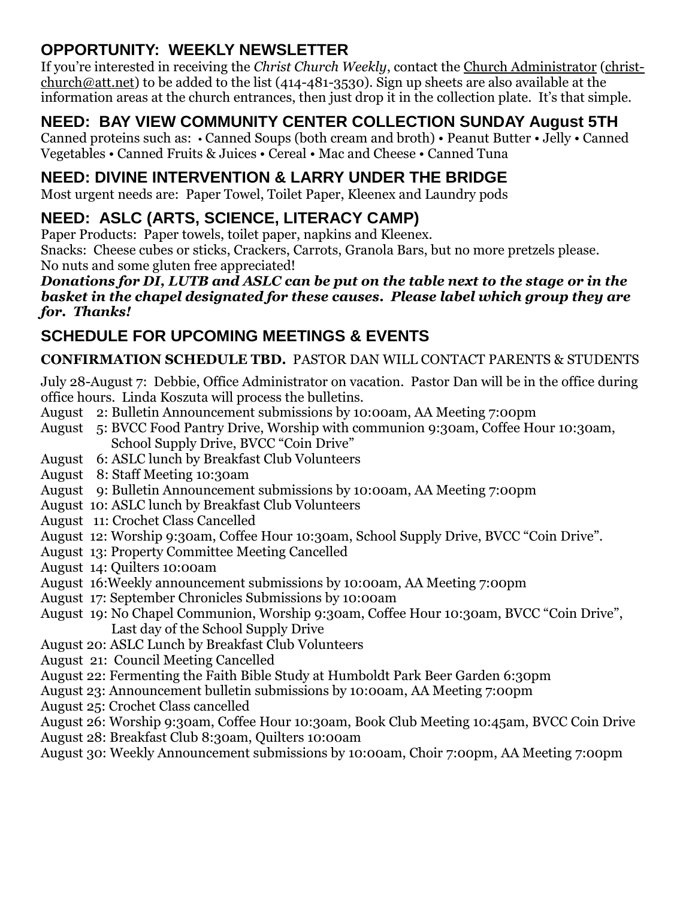#### **OPPORTUNITY: WEEKLY NEWSLETTER**

If you're interested in receiving the *Christ Church Weekly*, contact the [Church Administrator](mailto:christ-church@att.net) [\(christ](mailto:christ-church@att.net)[church@att.net\)](mailto:christ-church@att.net) to be added to the list (414-481-3530). Sign up sheets are also available at the information areas at the church entrances, then just drop it in the collection plate. It's that simple.

## **NEED: BAY VIEW COMMUNITY CENTER COLLECTION SUNDAY August 5TH**

Canned proteins such as: • Canned Soups (both cream and broth) • Peanut Butter • Jelly • Canned Vegetables • Canned Fruits & Juices • Cereal • Mac and Cheese • Canned Tuna

#### **NEED: DIVINE INTERVENTION & LARRY UNDER THE BRIDGE**

Most urgent needs are: Paper Towel, Toilet Paper, Kleenex and Laundry pods

## **NEED: ASLC (ARTS, SCIENCE, LITERACY CAMP)**

Paper Products: Paper towels, toilet paper, napkins and Kleenex.

Snacks: Cheese cubes or sticks, Crackers, Carrots, Granola Bars, but no more pretzels please. No nuts and some gluten free appreciated!

#### *Donations for DI, LUTB and ASLC can be put on the table next to the stage or in the basket in the chapel designated for these causes. Please label which group they are for. Thanks!*

## **SCHEDULE FOR UPCOMING MEETINGS & EVENTS**

#### **CONFIRMATION SCHEDULE TBD.** PASTOR DAN WILL CONTACT PARENTS & STUDENTS

July 28-August 7: Debbie, Office Administrator on vacation. Pastor Dan will be in the office during office hours. Linda Koszuta will process the bulletins.

- August 2: Bulletin Announcement submissions by 10:00am, AA Meeting 7:00pm
- August 5: BVCC Food Pantry Drive, Worship with communion 9:30am, Coffee Hour 10:30am, School Supply Drive, BVCC "Coin Drive"
- August 6: ASLC lunch by Breakfast Club Volunteers
- August 8: Staff Meeting 10:30am
- August 9: Bulletin Announcement submissions by 10:00am, AA Meeting 7:00pm
- August 10: ASLC lunch by Breakfast Club Volunteers
- August 11: Crochet Class Cancelled
- August 12: Worship 9:30am, Coffee Hour 10:30am, School Supply Drive, BVCC "Coin Drive".
- August 13: Property Committee Meeting Cancelled
- August 14: Quilters 10:00am
- August 16:Weekly announcement submissions by 10:00am, AA Meeting 7:00pm
- August 17: September Chronicles Submissions by 10:00am
- August 19: No Chapel Communion, Worship 9:30am, Coffee Hour 10:30am, BVCC "Coin Drive", Last day of the School Supply Drive
- August 20: ASLC Lunch by Breakfast Club Volunteers
- August 21: Council Meeting Cancelled
- August 22: Fermenting the Faith Bible Study at Humboldt Park Beer Garden 6:30pm
- August 23: Announcement bulletin submissions by 10:00am, AA Meeting 7:00pm
- August 25: Crochet Class cancelled
- August 26: Worship 9:30am, Coffee Hour 10:30am, Book Club Meeting 10:45am, BVCC Coin Drive
- August 28: Breakfast Club 8:30am, Quilters 10:00am
- August 30: Weekly Announcement submissions by 10:00am, Choir 7:00pm, AA Meeting 7:00pm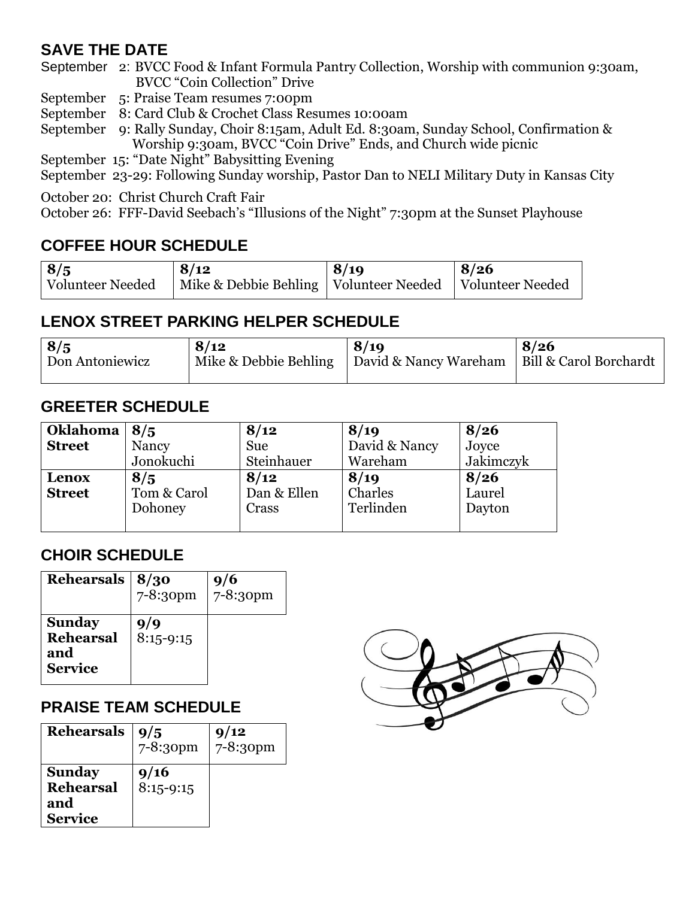#### **SAVE THE DATE**

September 2: BVCC Food & Infant Formula Pantry Collection, Worship with communion 9:30am, BVCC "Coin Collection" Drive

September 5: Praise Team resumes 7:00pm

September 8: Card Club & Crochet Class Resumes 10:00am

September 9: Rally Sunday, Choir 8:15am, Adult Ed. 8:30am, Sunday School, Confirmation & Worship 9:30am, BVCC "Coin Drive" Ends, and Church wide picnic

September 15: "Date Night" Babysitting Evening

September 23-29: Following Sunday worship, Pastor Dan to NELI Military Duty in Kansas City

October 20: Christ Church Craft Fair

October 26: FFF-David Seebach's "Illusions of the Night" 7:30pm at the Sunset Playhouse

#### **COFFEE HOUR SCHEDULE**

| 8/5              | 8/12                                                        | 8/19 | 8/26 |
|------------------|-------------------------------------------------------------|------|------|
| Volunteer Needed | Mike & Debbie Behling   Volunteer Needed   Volunteer Needed |      |      |

#### **LENOX STREET PARKING HELPER SCHEDULE**

| 8/5             | 8/12                  | 8/19                  | 8/26                   |
|-----------------|-----------------------|-----------------------|------------------------|
| Don Antoniewicz | Mike & Debbie Behling | David & Nancy Wareham | Bill & Carol Borchardt |
|                 |                       |                       |                        |

#### **GREETER SCHEDULE**

| <b>Oklahoma</b> | 8/5         | 8/12        | 8/19          | 8/26      |
|-----------------|-------------|-------------|---------------|-----------|
| <b>Street</b>   | Nancy       | Sue         | David & Nancy | Joyce     |
|                 | Jonokuchi   | Steinhauer  | Wareham       | Jakimczyk |
| Lenox           | 8/5         | 8/12        | 8/19          | 8/26      |
| <b>Street</b>   | Tom & Carol | Dan & Ellen | Charles       | Laurel    |
|                 | Dohoney     | Crass       | Terlinden     | Dayton    |
|                 |             |             |               |           |

#### **CHOIR SCHEDULE**

| Rehearsals                                                 | 8/30<br>7-8:30pm   | 9/6<br>7-8:30pm |
|------------------------------------------------------------|--------------------|-----------------|
| <b>Sunday</b><br><b>Rehearsal</b><br>and<br><b>Service</b> | 9/9<br>$8:15-9:15$ |                 |

#### **PRAISE TEAM SCHEDULE**

| <b>Rehearsals</b>                                          | 9/5<br>7-8:30pm     | 9/12<br>7-8:30pm |
|------------------------------------------------------------|---------------------|------------------|
| <b>Sunday</b><br><b>Rehearsal</b><br>and<br><b>Service</b> | 9/16<br>$8:15-9:15$ |                  |

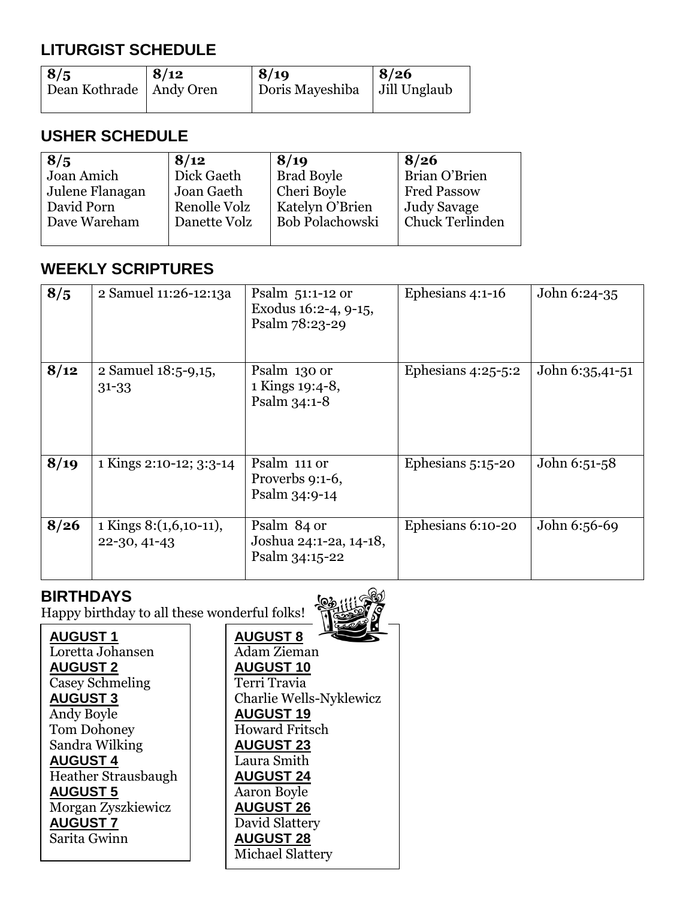## **LITURGIST SCHEDULE**

| 8/5                       | $\frac{8}{12}$ | 8/19                           | 8/26 |
|---------------------------|----------------|--------------------------------|------|
| Dean Kothrade   Andy Oren |                | Doris Mayeshiba   Jill Unglaub |      |

#### **USHER SCHEDULE**

| 8/5             | 8/12         | 8/19                   | 8/26                   |
|-----------------|--------------|------------------------|------------------------|
| Joan Amich      | Dick Gaeth   | <b>Brad Boyle</b>      | Brian O'Brien          |
| Julene Flanagan | Joan Gaeth   | Cheri Boyle            | <b>Fred Passow</b>     |
| David Porn      | Renolle Volz | Katelyn O'Brien        | Judy Savage            |
| Dave Wareham    | Danette Volz | <b>Bob Polachowski</b> | <b>Chuck Terlinden</b> |
|                 |              |                        |                        |

#### **WEEKLY SCRIPTURES**

| 8/5  | 2 Samuel 11:26-12:13a                  | Psalm $51:1-12$ or<br>Exodus 16:2-4, 9-15,<br>Psalm 78:23-29 | Ephesians 4:1-16     | John 6:24-35    |
|------|----------------------------------------|--------------------------------------------------------------|----------------------|-----------------|
| 8/12 | 2 Samuel 18:5-9,15,<br>$31 - 33$       | Psalm 130 or<br>1 Kings 19:4-8,<br>Psalm 34:1-8              | Ephesians $4:25-5:2$ | John 6:35,41-51 |
| 8/19 | 1 Kings 2:10-12; 3:3-14                | Psalm 111 or<br>Proverbs 9:1-6,<br>Psalm 34:9-14             | Ephesians $5:15-20$  | John 6:51-58    |
| 8/26 | 1 Kings 8:(1,6,10-11),<br>22-30, 41-43 | Psalm 84 or<br>Joshua 24:1-2a, 14-18,<br>Psalm 34:15-22      | Ephesians 6:10-20    | John 6:56-69    |

#### **BIRTHDAYS**

Happy birthday to all these wonderful folks!



**AUGUST 7 AUGUST 1** Loretta Johansen **AUGUST 2** Casey Schmeling **AUGUST 3** Andy Boyle Tom Dohoney Sandra Wilking **AUGUST 4** Heather Strausbaugh **AUGUST 5** Morgan Zyszkiewicz Sarita Gwinn

**AUGUST 8** Adam Zieman **AUGUST 10** Terri Travia Charlie Wells-Nyklewicz **AUGUST 19** Howard Fritsch **AUGUST 23** Laura Smith **AUGUST 24** Aaron Boyle **AUGUST 26** David Slattery **AUGUST 28** Michael Slattery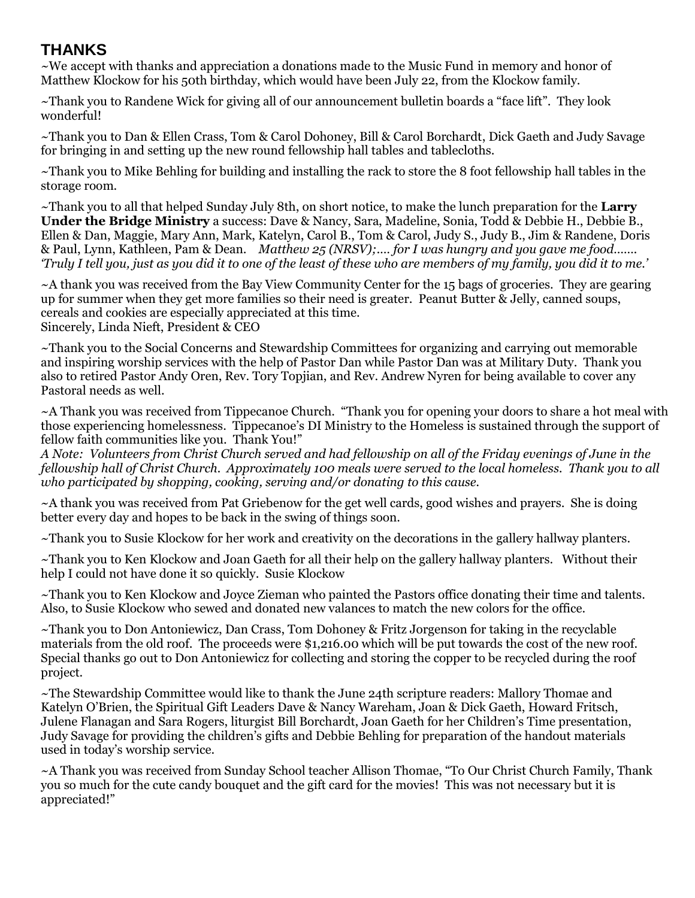#### **THANKS**

*~*We accept with thanks and appreciation a donations made to the Music Fund in memory and honor of Matthew Klockow for his 50th birthday, which would have been July 22, from the Klockow family.

~Thank you to Randene Wick for giving all of our announcement bulletin boards a "face lift". They look wonderful!

~Thank you to Dan & Ellen Crass, Tom & Carol Dohoney, Bill & Carol Borchardt, Dick Gaeth and Judy Savage for bringing in and setting up the new round fellowship hall tables and tablecloths.

~Thank you to Mike Behling for building and installing the rack to store the 8 foot fellowship hall tables in the storage room.

~Thank you to all that helped Sunday July 8th, on short notice, to make the lunch preparation for the **Larry Under the Bridge Ministry** a success: Dave & Nancy, Sara, Madeline, Sonia, Todd & Debbie H., Debbie B., Ellen & Dan, Maggie, Mary Ann, Mark, Katelyn, Carol B., Tom & Carol, Judy S., Judy B., Jim & Randene, Doris & Paul, Lynn, Kathleen, Pam & Dean. *Matthew 25 (NRSV);.… for I was hungry and you gave me food……. 'Truly I tell you, just as you did it to one of the least of these who are members of my family, you did it to me.'*

~A thank you was received from the Bay View Community Center for the 15 bags of groceries. They are gearing up for summer when they get more families so their need is greater. Peanut Butter & Jelly, canned soups, cereals and cookies are especially appreciated at this time. Sincerely, Linda Nieft, President & CEO

~Thank you to the Social Concerns and Stewardship Committees for organizing and carrying out memorable and inspiring worship services with the help of Pastor Dan while Pastor Dan was at Military Duty. Thank you also to retired Pastor Andy Oren, Rev. Tory Topjian, and Rev. Andrew Nyren for being available to cover any Pastoral needs as well.

~A Thank you was received from Tippecanoe Church. "Thank you for opening your doors to share a hot meal with those experiencing homelessness. Tippecanoe's DI Ministry to the Homeless is sustained through the support of fellow faith communities like you. Thank You!"

*A Note: Volunteers from Christ Church served and had fellowship on all of the Friday evenings of June in the fellowship hall of Christ Church. Approximately 100 meals were served to the local homeless. Thank you to all who participated by shopping, cooking, serving and/or donating to this cause.*

~A thank you was received from Pat Griebenow for the get well cards, good wishes and prayers. She is doing better every day and hopes to be back in the swing of things soon.

~Thank you to Susie Klockow for her work and creativity on the decorations in the gallery hallway planters.

~Thank you to Ken Klockow and Joan Gaeth for all their help on the gallery hallway planters. Without their help I could not have done it so quickly. Susie Klockow

~Thank you to Ken Klockow and Joyce Zieman who painted the Pastors office donating their time and talents. Also, to Susie Klockow who sewed and donated new valances to match the new colors for the office.

~Thank you to Don Antoniewicz, Dan Crass, Tom Dohoney & Fritz Jorgenson for taking in the recyclable materials from the old roof. The proceeds were \$1,216.00 which will be put towards the cost of the new roof. Special thanks go out to Don Antoniewicz for collecting and storing the copper to be recycled during the roof project.

~The Stewardship Committee would like to thank the June 24th scripture readers: Mallory Thomae and Katelyn O'Brien, the Spiritual Gift Leaders Dave & Nancy Wareham, Joan & Dick Gaeth, Howard Fritsch, Julene Flanagan and Sara Rogers, liturgist Bill Borchardt, Joan Gaeth for her Children's Time presentation, Judy Savage for providing the children's gifts and Debbie Behling for preparation of the handout materials used in today's worship service.

~A Thank you was received from Sunday School teacher Allison Thomae, "To Our Christ Church Family, Thank you so much for the cute candy bouquet and the gift card for the movies! This was not necessary but it is appreciated!"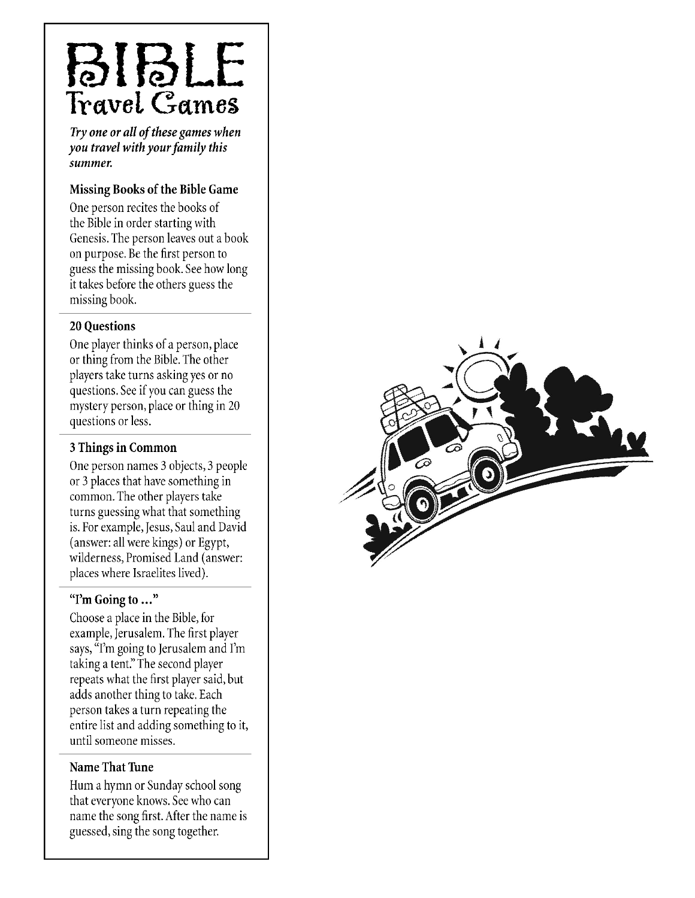## BIBLE Travel Games

Try one or all of these games when you travel with your family this summer.

#### Missing Books of the Bible Game

One person recites the books of the Bible in order starting with Genesis. The person leaves out a book on purpose. Be the first person to guess the missing book. See how long it takes before the others guess the missing book.

#### **20 Ouestions**

One player thinks of a person, place or thing from the Bible. The other players take turns asking yes or no questions. See if you can guess the mystery person, place or thing in 20 questions or less.

#### 3 Things in Common

One person names 3 objects, 3 people or 3 places that have something in common. The other players take turns guessing what that something is. For example, Jesus, Saul and David (answer: all were kings) or Egypt, wilderness, Promised Land (answer: places where Israelites lived).

#### "I'm Going to ..."

Choose a place in the Bible, for example, Jerusalem. The first player says, "I'm going to Jerusalem and I'm taking a tent." The second player repeats what the first player said, but adds another thing to take. Each person takes a turn repeating the entire list and adding something to it, until someone misses.

#### Name That Tune

Hum a hymn or Sunday school song that everyone knows. See who can name the song first. After the name is guessed, sing the song together.